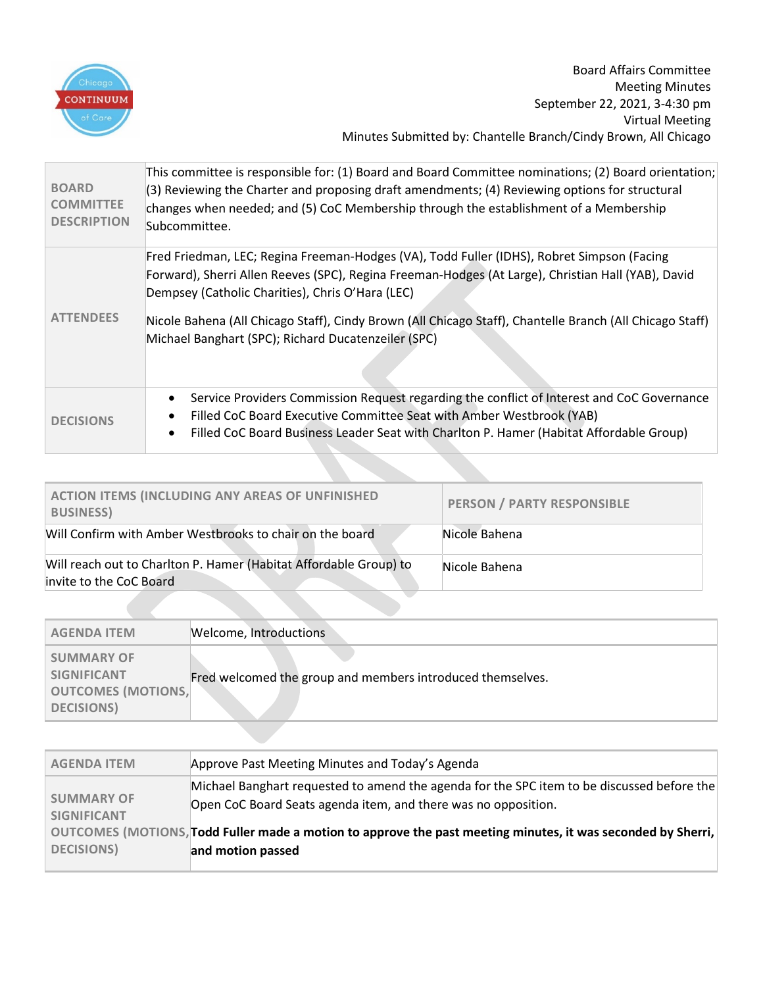

Board Affairs Committee Meeting Minutes September 22, 2021, 3-4:30 pm Virtual Meeting Minutes Submitted by: Chantelle Branch/Cindy Brown, All Chicago

| <b>BOARD</b><br><b>COMMITTEE</b><br><b>DESCRIPTION</b> | This committee is responsible for: (1) Board and Board Committee nominations; (2) Board orientation;<br>(3) Reviewing the Charter and proposing draft amendments; (4) Reviewing options for structural<br>changes when needed; and (5) CoC Membership through the establishment of a Membership<br>Subcommittee.                                                                                                        |
|--------------------------------------------------------|-------------------------------------------------------------------------------------------------------------------------------------------------------------------------------------------------------------------------------------------------------------------------------------------------------------------------------------------------------------------------------------------------------------------------|
| <b>ATTENDEES</b>                                       | Fred Friedman, LEC; Regina Freeman-Hodges (VA), Todd Fuller (IDHS), Robret Simpson (Facing<br>Forward), Sherri Allen Reeves (SPC), Regina Freeman-Hodges (At Large), Christian Hall (YAB), David<br>Dempsey (Catholic Charities), Chris O'Hara (LEC)<br>Nicole Bahena (All Chicago Staff), Cindy Brown (All Chicago Staff), Chantelle Branch (All Chicago Staff)<br>Michael Banghart (SPC); Richard Ducatenzeiler (SPC) |
| <b>DECISIONS</b>                                       | Service Providers Commission Request regarding the conflict of Interest and CoC Governance<br>Filled CoC Board Executive Committee Seat with Amber Westbrook (YAB)<br>Filled CoC Board Business Leader Seat with Charlton P. Hamer (Habitat Affordable Group)<br>٠                                                                                                                                                      |

| <b>ACTION ITEMS (INCLUDING ANY AREAS OF UNFINISHED</b><br><b>BUSINESS)</b>                   | PERSON / PARTY RESPONSIBLE |
|----------------------------------------------------------------------------------------------|----------------------------|
| Will Confirm with Amber Westbrooks to chair on the board                                     | Nicole Bahena              |
| Will reach out to Charlton P. Hamer (Habitat Affordable Group) to<br>invite to the CoC Board | Nicole Bahena              |

| <b>AGENDA ITEM</b>                                                                       | Welcome, Introductions                                     |
|------------------------------------------------------------------------------------------|------------------------------------------------------------|
| <b>SUMMARY OF</b><br><b>SIGNIFICANT</b><br><b>OUTCOMES (MOTIONS,</b><br><b>DECISIONS</b> | Fred welcomed the group and members introduced themselves. |

| Michael Banghart requested to amend the agenda for the SPC item to be discussed before the<br><b>SUMMARY OF</b>                                       |
|-------------------------------------------------------------------------------------------------------------------------------------------------------|
| Open CoC Board Seats agenda item, and there was no opposition.<br><b>SIGNIFICANT</b>                                                                  |
| OUTCOMES (MOTIONS, Todd Fuller made a motion to approve the past meeting minutes, it was seconded by Sherri,<br><b>DECISIONS</b><br>and motion passed |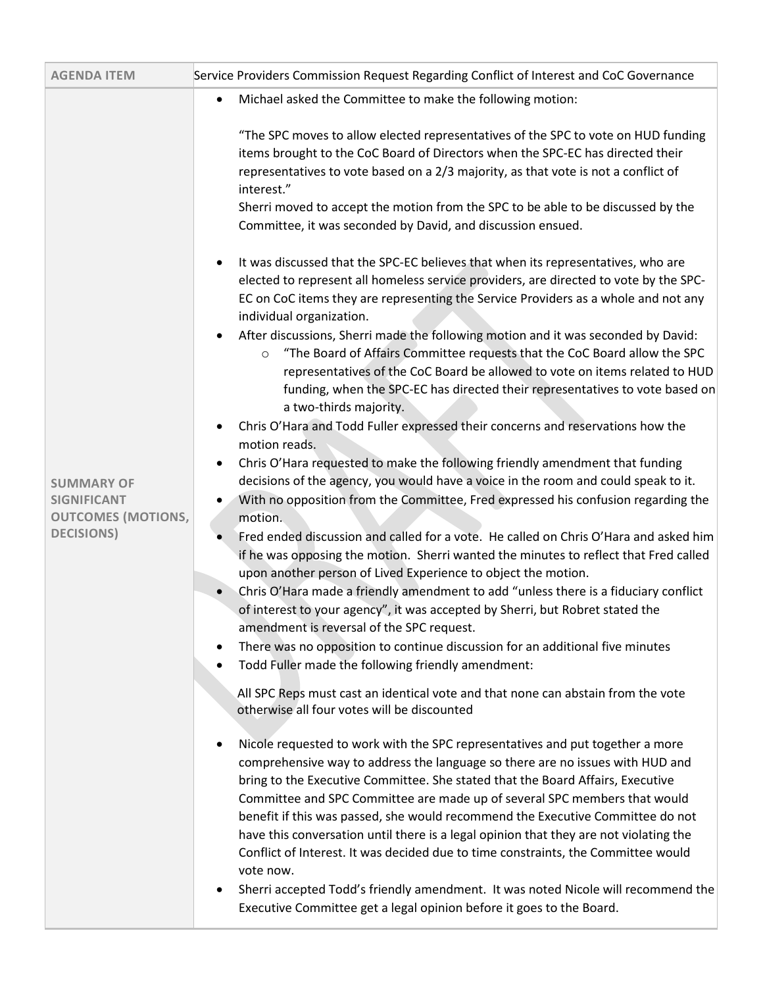| <b>AGENDA ITEM</b>                                                   | Service Providers Commission Request Regarding Conflict of Interest and CoC Governance                                                                                                                                                                                                                                                                                                                                                                                                                                                                                                                                                                                                                            |
|----------------------------------------------------------------------|-------------------------------------------------------------------------------------------------------------------------------------------------------------------------------------------------------------------------------------------------------------------------------------------------------------------------------------------------------------------------------------------------------------------------------------------------------------------------------------------------------------------------------------------------------------------------------------------------------------------------------------------------------------------------------------------------------------------|
|                                                                      | Michael asked the Committee to make the following motion:<br>$\bullet$                                                                                                                                                                                                                                                                                                                                                                                                                                                                                                                                                                                                                                            |
|                                                                      | "The SPC moves to allow elected representatives of the SPC to vote on HUD funding<br>items brought to the CoC Board of Directors when the SPC-EC has directed their<br>representatives to vote based on a 2/3 majority, as that vote is not a conflict of<br>interest."<br>Sherri moved to accept the motion from the SPC to be able to be discussed by the<br>Committee, it was seconded by David, and discussion ensued.                                                                                                                                                                                                                                                                                        |
|                                                                      | It was discussed that the SPC-EC believes that when its representatives, who are<br>$\bullet$<br>elected to represent all homeless service providers, are directed to vote by the SPC-<br>EC on CoC items they are representing the Service Providers as a whole and not any<br>individual organization.                                                                                                                                                                                                                                                                                                                                                                                                          |
|                                                                      | After discussions, Sherri made the following motion and it was seconded by David:<br>$\bullet$<br>"The Board of Affairs Committee requests that the CoC Board allow the SPC<br>$\circ$<br>representatives of the CoC Board be allowed to vote on items related to HUD<br>funding, when the SPC-EC has directed their representatives to vote based on<br>a two-thirds majority.                                                                                                                                                                                                                                                                                                                                   |
|                                                                      | Chris O'Hara and Todd Fuller expressed their concerns and reservations how the<br>$\bullet$<br>motion reads.                                                                                                                                                                                                                                                                                                                                                                                                                                                                                                                                                                                                      |
| <b>SUMMARY OF</b><br><b>SIGNIFICANT</b><br><b>OUTCOMES (MOTIONS,</b> | Chris O'Hara requested to make the following friendly amendment that funding<br>$\bullet$<br>decisions of the agency, you would have a voice in the room and could speak to it.<br>With no opposition from the Committee, Fred expressed his confusion regarding the<br>motion.                                                                                                                                                                                                                                                                                                                                                                                                                                   |
| <b>DECISIONS</b> )                                                   | Fred ended discussion and called for a vote. He called on Chris O'Hara and asked him<br>if he was opposing the motion. Sherri wanted the minutes to reflect that Fred called<br>upon another person of Lived Experience to object the motion.                                                                                                                                                                                                                                                                                                                                                                                                                                                                     |
|                                                                      | Chris O'Hara made a friendly amendment to add "unless there is a fiduciary conflict<br>$\bullet$<br>of interest to your agency", it was accepted by Sherri, but Robret stated the<br>amendment is reversal of the SPC request.                                                                                                                                                                                                                                                                                                                                                                                                                                                                                    |
|                                                                      | There was no opposition to continue discussion for an additional five minutes<br>٠<br>Todd Fuller made the following friendly amendment:                                                                                                                                                                                                                                                                                                                                                                                                                                                                                                                                                                          |
|                                                                      | All SPC Reps must cast an identical vote and that none can abstain from the vote<br>otherwise all four votes will be discounted                                                                                                                                                                                                                                                                                                                                                                                                                                                                                                                                                                                   |
|                                                                      | Nicole requested to work with the SPC representatives and put together a more<br>٠<br>comprehensive way to address the language so there are no issues with HUD and<br>bring to the Executive Committee. She stated that the Board Affairs, Executive<br>Committee and SPC Committee are made up of several SPC members that would<br>benefit if this was passed, she would recommend the Executive Committee do not<br>have this conversation until there is a legal opinion that they are not violating the<br>Conflict of Interest. It was decided due to time constraints, the Committee would<br>vote now.<br>Sherri accepted Todd's friendly amendment. It was noted Nicole will recommend the<br>$\bullet$ |
|                                                                      | Executive Committee get a legal opinion before it goes to the Board.                                                                                                                                                                                                                                                                                                                                                                                                                                                                                                                                                                                                                                              |